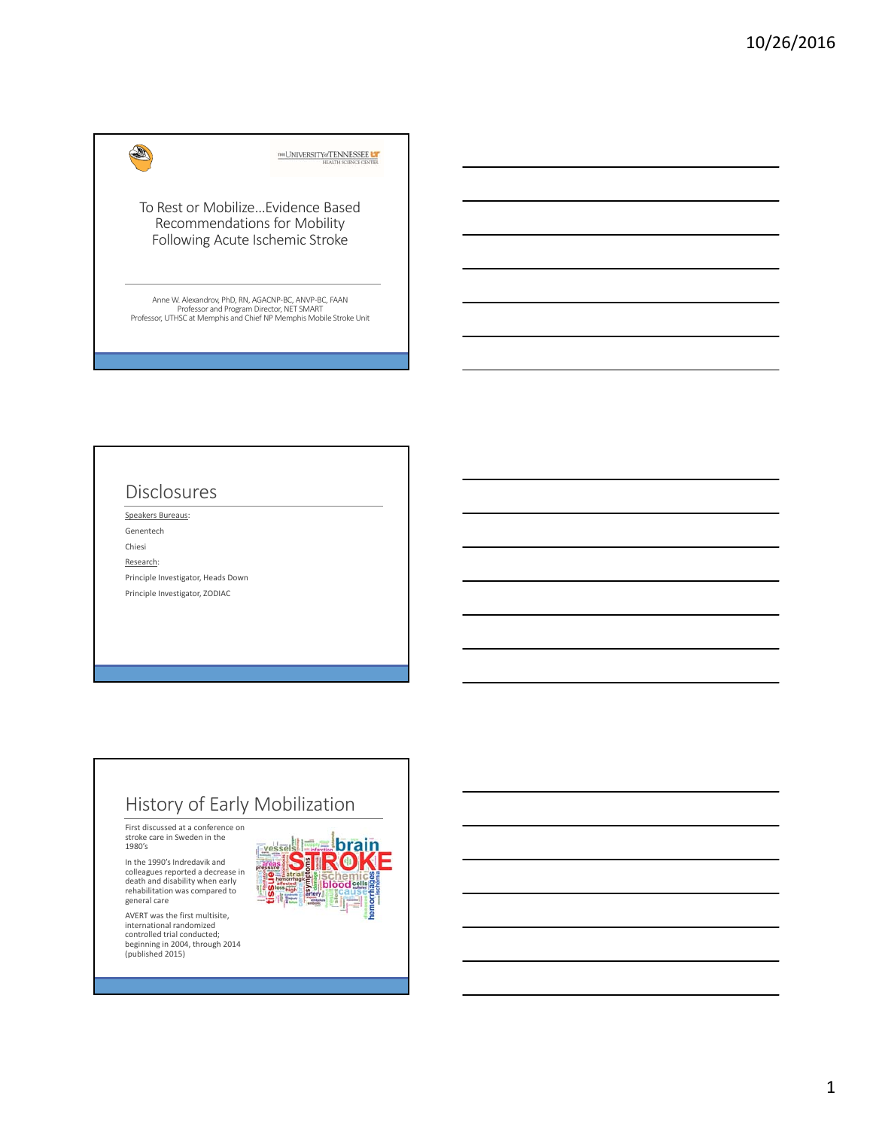#### THE UNIVERSITY OF TENNESSEE LA

To Rest or Mobilize…Evidence Based Recommendations for Mobility Following Acute Ischemic Stroke

Anne W. Alexandrov, PhD, RN, AGACNP‐BC, ANVP‐BC, FAAN Professor and Program Director, NET SMART Professor, UTHSC at Memphis and Chief NP Memphis Mobile Stroke Unit

### Disclosures

**AND** 

Speakers Bureaus: Genentech Chiesi Research: Principle Investigator, Heads Down Principle Investigator, ZODIAC

### History of Early Mobilization

First discussed at a conference on stroke care in Sweden in the 1980's

In the 1990's Indredavik and colleagues reported a decrease in death and disability when early rehabilitation was compared to general care

AVERT was the first multisite, international randomized controlled trial conducted; beginning in 2004, through 2014 (published 2015)

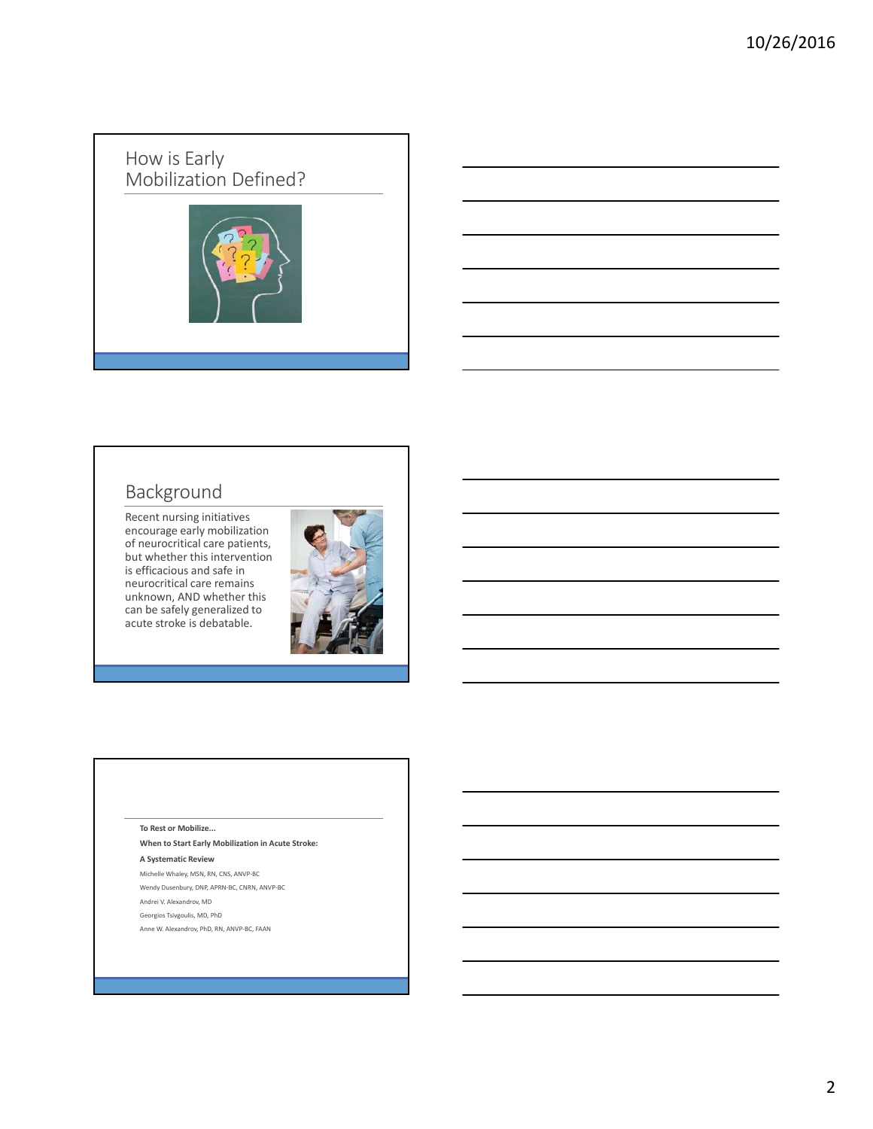### How is Early Mobilization Defined?



# Background

Recent nursing initiatives encourage early mobilization of neurocritical care patients, but whether this intervention is efficacious and safe in neurocritical care remains unknown, AND whether this can be safely generalized to acute stroke is debatable.



#### **To Rest or Mobilize...**

**When to Start Early Mobilization in Acute Stroke:**

#### **A Systematic Review**

Michelle Whaley, MSN, RN, CNS, ANVP‐BC

- Wendy Dusenbury, DNP, APRN‐BC, CNRN, ANVP‐BC Andrei V. Alexandrov, MD
- Georgios Tsivgoulis, MD, PhD
- Anne W. Alexandrov, PhD, RN, ANVP‐BC, FAAN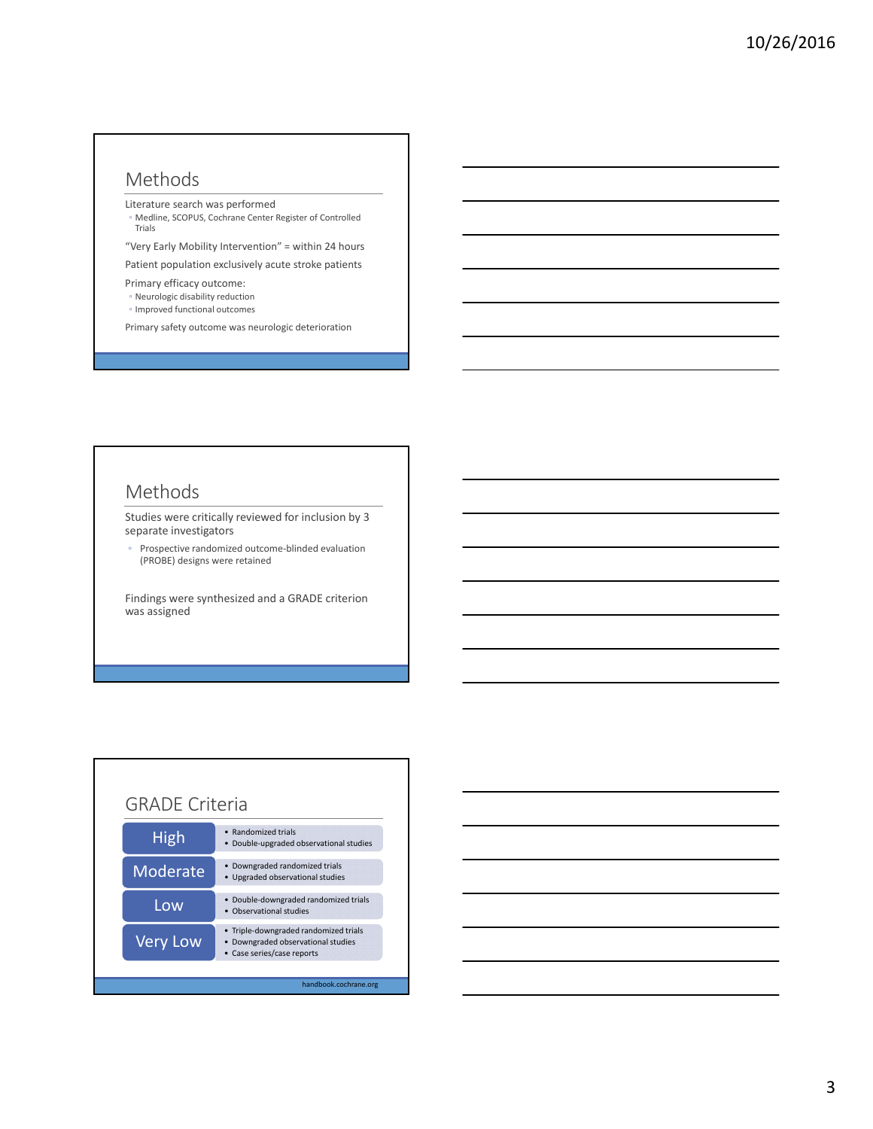### Methods

Literature search was performed

◦ Medline, SCOPUS, Cochrane Center Register of Controlled Trials

"Very Early Mobility Intervention" = within 24 hours

Patient population exclusively acute stroke patients

- Primary efficacy outcome:
- Neurologic disability reduction
- Improved functional outcomes
- Primary safety outcome was neurologic deterioration

#### Methods

Studies were critically reviewed for inclusion by 3 separate investigators

◦ Prospective randomized outcome‐blinded evaluation (PROBE) designs were retained

Findings were synthesized and a GRADE criterion was assigned



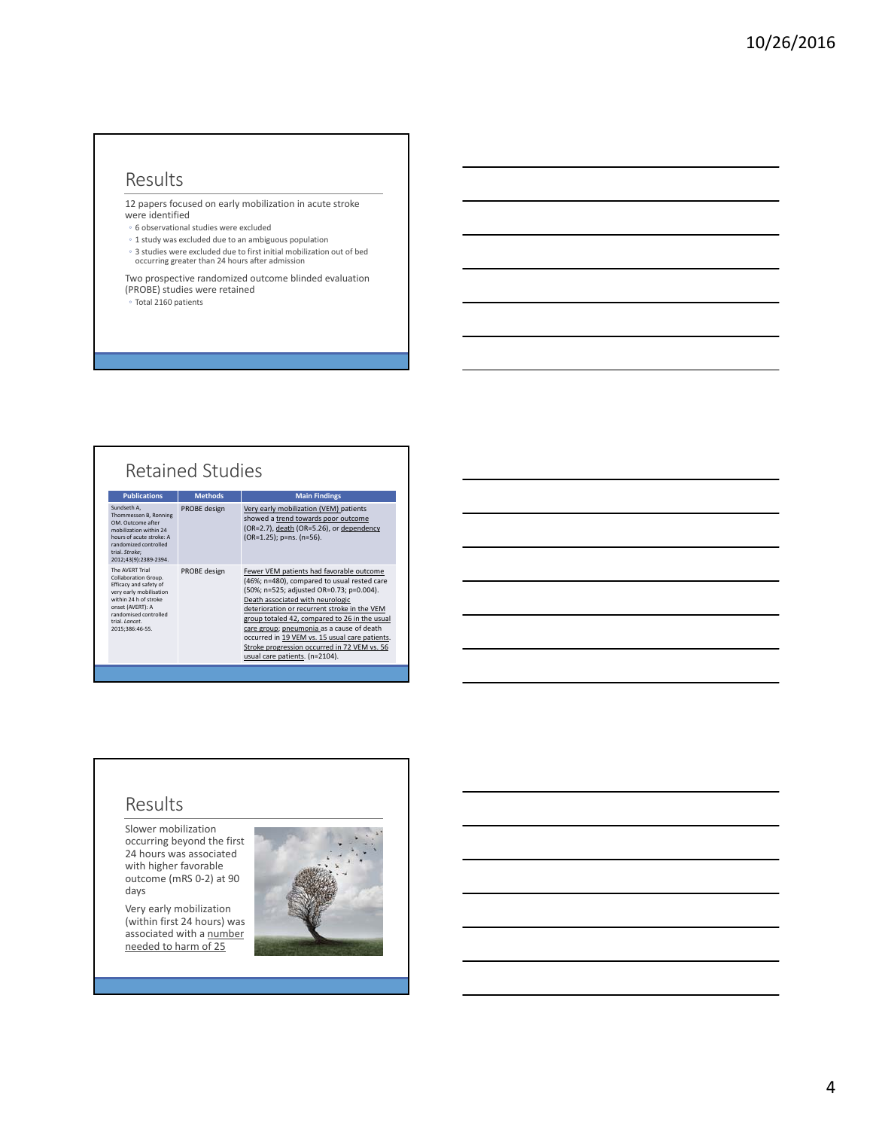### Results

12 papers focused on early mobilization in acute stroke were identified

- 6 observational studies were excluded
- 1 study was excluded due to an ambiguous population
- 3 studies were excluded due to first initial mobilization out of bed occurring greater than 24 hours after admission

Two prospective randomized outcome blinded evaluation (PROBE) studies were retained

◦ Total 2160 patients

## Retained Studies

| <b>Publications</b>                                                                                                                                                                                     | <b>Methods</b> | <b>Main Findings</b>                                                                                                                                                                                                                                                                                                                                                                                                                                      |
|---------------------------------------------------------------------------------------------------------------------------------------------------------------------------------------------------------|----------------|-----------------------------------------------------------------------------------------------------------------------------------------------------------------------------------------------------------------------------------------------------------------------------------------------------------------------------------------------------------------------------------------------------------------------------------------------------------|
| Sundseth A,<br>Thommessen B, Ronning<br>OM. Outcome after<br>mobilization within 24<br>hours of acute stroke: A<br>randomized controlled<br>trial. Stroke:<br>2012;43(9):2389-2394.                     | PROBE design   | Very early mobilization (VEM) patients<br>showed a trend towards poor outcome<br>(OR=2.7), death (OR=5.26), or dependency<br>(OR=1.25); p=ns. (n=56).                                                                                                                                                                                                                                                                                                     |
| The AVERT Trial<br>Collaboration Group.<br>Efficacy and safety of<br>very early mobilisation<br>within 24 h of stroke<br>onset (AVERT): A<br>randomised controlled<br>trial. Lancet.<br>2015:386:46-55. | PROBE design   | Fewer VEM patients had favorable outcome<br>(46%; n=480), compared to usual rested care<br>(50%; n=525; adjusted OR=0.73; p=0.004).<br>Death associated with neurologic<br>deterioration or recurrent stroke in the VEM<br>group totaled 42, compared to 26 in the usual<br>care group; pneumonia as a cause of death<br>occurred in 19 VEM vs. 15 usual care patients.<br>Stroke progression occurred in 72 VEM vs. 56<br>usual care patients. (n=2104). |

#### Results

Slower mobilization occurring beyond the first 24 hours was associated with higher favorable outcome (mRS 0‐2) at 90 days

Very early mobilization (within first 24 hours) was associated with a **number** needed to harm of 25

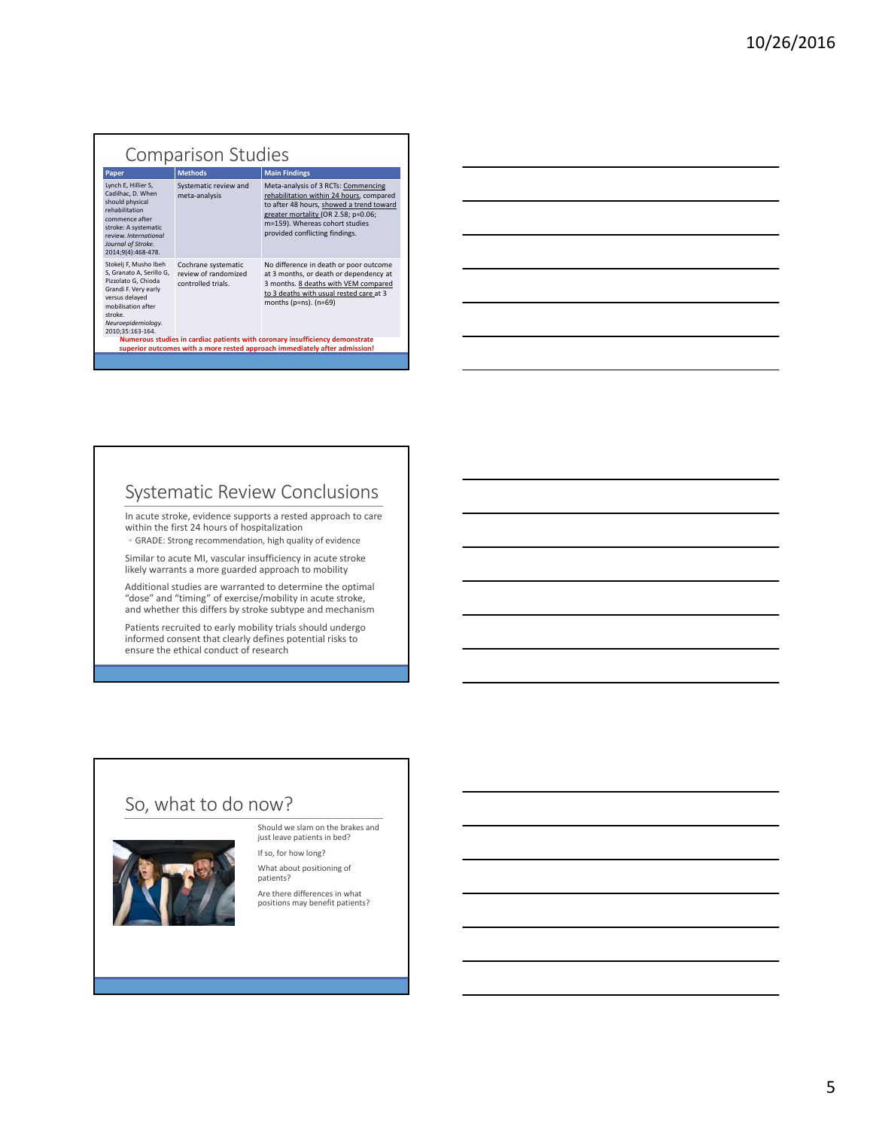#### Comparison Studies **Main Findings** Lynch E, Hillier S, Cadilhac, D. When should physical rehabilitation commence after stroke: A systematic<br>review. International review. *International Journal of Stroke*. 2014;9(4):468‐478. Systematic review and meta‐analysis Meta‐analysis of 3 RCTs: Commencing rehabilitation within 24 hours, compared to after 48 hours, showed a trend toward greater mortality (OR 2.58; p=0.06; m=159). Whereas cohort studies m 1557. Whereas constructed Stokelj F, Musho Ibeh S, Granato A, Serillo G, Pizzolato G, Chioda Grandi F. Very early versus delayed mobilisation after stroke. *Neuroepidemiology*. 2010;35:163‐164. Cochrane systematic review of randomized controlled trials. No difference in death or poor outcome at 3 months, or death or dependency at 3 months. 8 deaths with VEM compared to 3 deaths with usual rested care at 3 months (p=ns). (n=69) **Numerous studies in cardiac patients with coronary insufficiency demonstrate superior outcomes with a more rested approach immediately after admission!**

### Systematic Review Conclusions

In acute stroke, evidence supports a rested approach to care within the first 24 hours of hospitalization ◦ GRADE: Strong recommendation, high quality of evidence

Similar to acute MI, vascular insufficiency in acute stroke likely warrants a more guarded approach to mobility

Additional studies are warranted to determine the optimal "dose" and "timing" of exercise/mobility in acute stroke, and whether this differs by stroke subtype and mechanism

Patients recruited to early mobility trials should undergo informed consent that clearly defines potential risks to ensure the ethical conduct of research

### So, what to do now?



Should we slam on the brakes and just leave patients in bed? If so, for how long?

What about positioning of patients?

Are there differences in what positions may benefit patients?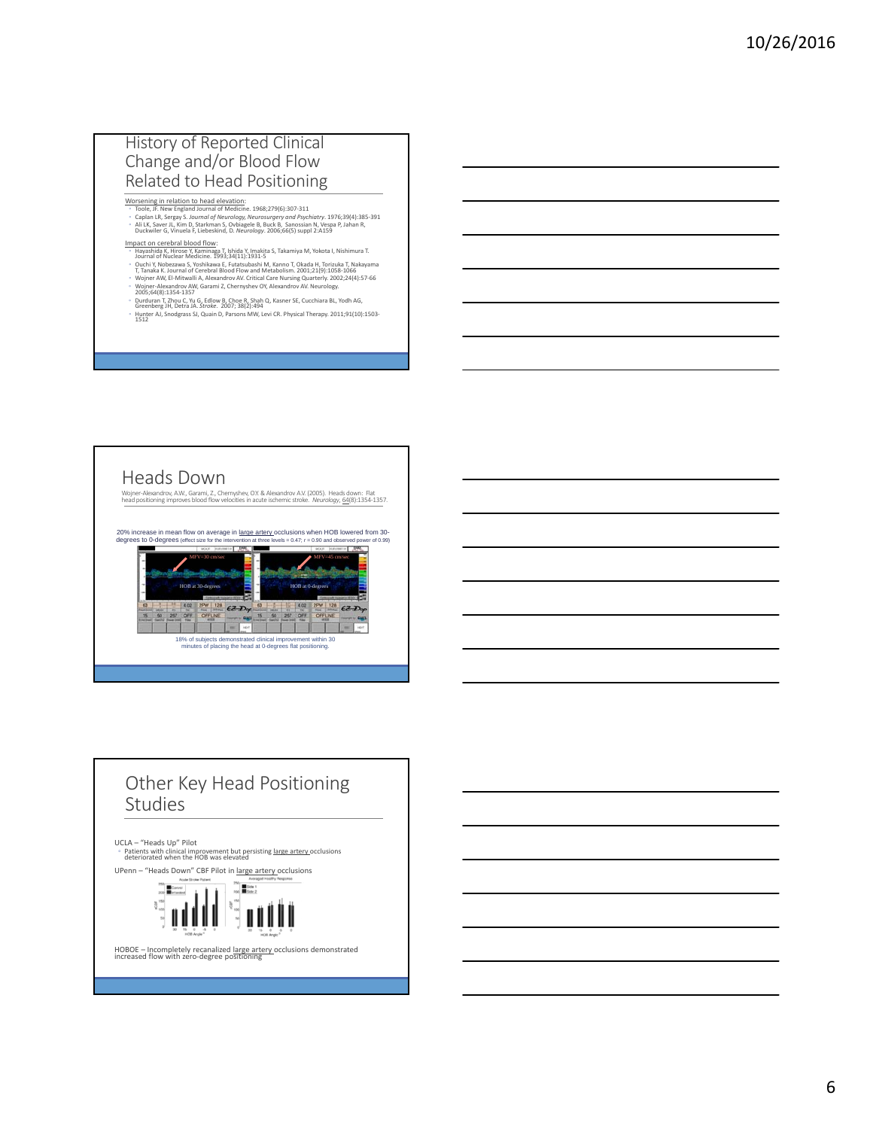#### History of Reported Clinical Change and/or Blood Flow Related to Head Positioning

- Wors<u>ening in relation to head elevation</u>:<br><sup>«</sup> Toole, JF. New England Journal of Medicine. 1968;279(6):307-311<br><sup>»</sup> Caplan LR, Sergay S*. Journal of Meurology, Neurosurgery and Psychiatry.* 1976;39(4):385-391<br>« Ali LK, Save
- I<mark>mpact on cerebral blood flow:</mark><br>◦ Hayashida K, Hirose Y, Kaminaga T, Ishida Y, Imakita S, Takamiya M, Yokota I, Nishimura T.<br>∂ Journal of Nuclear Medicine. 1993;34(11):1931-5
- 
- e Quchi Y, Nobezawa S, Yoshikawa E, Futatsubashi M, Kanno T, Okada H, Torizuka T, Nakayama<br>- T, Tanaka K. Journal of Cerebral Blood Flow and Metabolism. 2001;21(9):1058-1066<br>- Wojner ANV, El-Mitwalli A, Alexandrov AV. Crit
- 
- Durduran T, Zhou C, Yu G, Edlow B, Choe R, Shah Q, Kasner SE, Cucchiara BL, Yodh AG, Greenberg JH, Detra JA. *Stroke*. 2007; 38(2):494 ◦ Hunter AJ, Snodgrass SJ, Quain D, Parsons MW, Levi CR. Physical Therapy. 2011;91(10):1503‐ <sup>1512</sup>



# Other Key Head Positioning Studies UCLA – "Heads Up" Pilot<br>◦ Patients with clinical improvement but persisting <u>large artery </u>occlusions<br>deteriorated when the HOB was elevated UPenn – "Heads Down" CBF Pilot in <u>large artery occlusions</u><br>  $\frac{200}{200}$ <br>  $\frac{1}{200}$ <br>  $\frac{1}{200}$ <br>  $\frac{1}{200}$ <br>  $\frac{1}{200}$ <br>  $\frac{1}{200}$  $rac{35}{9}$  150

HOBOE – Incompletely recanalized large artery occlusions demonstrated increased flow with zero-degree positioning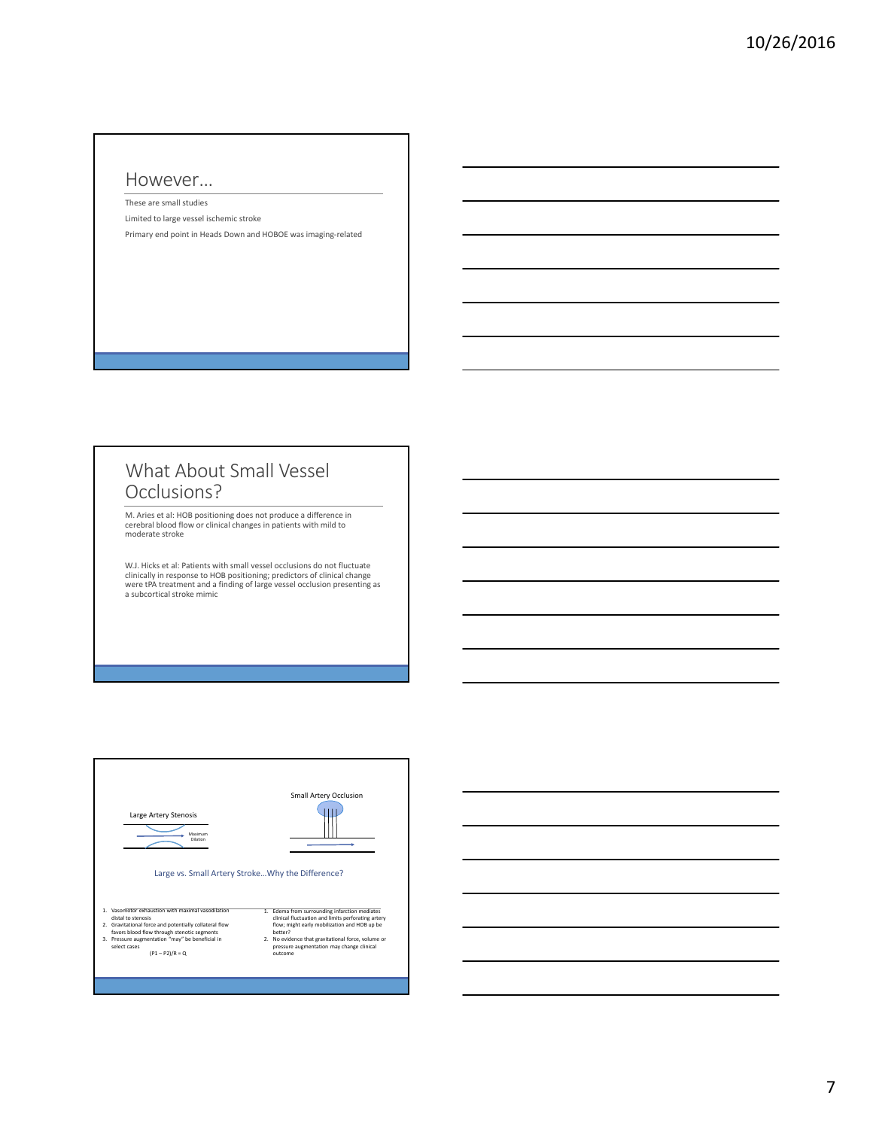#### However…

These are small studies Limited to large vessel ischemic stroke Primary end point in Heads Down and HOBOE was imaging‐related

#### What About Small Vessel Occlusions?

M. Aries et al: HOB positioning does not produce a difference in cerebral blood flow or clinical changes in patients with mild to moderate stroke

W.J. Hicks et al: Patients with small vessel occlusions do not fluctuate<br>clinically in response to HOB positioning; predictors of clinical change<br>were tPA treatment and a finding of large vessel occlusion presenting as<br>a s

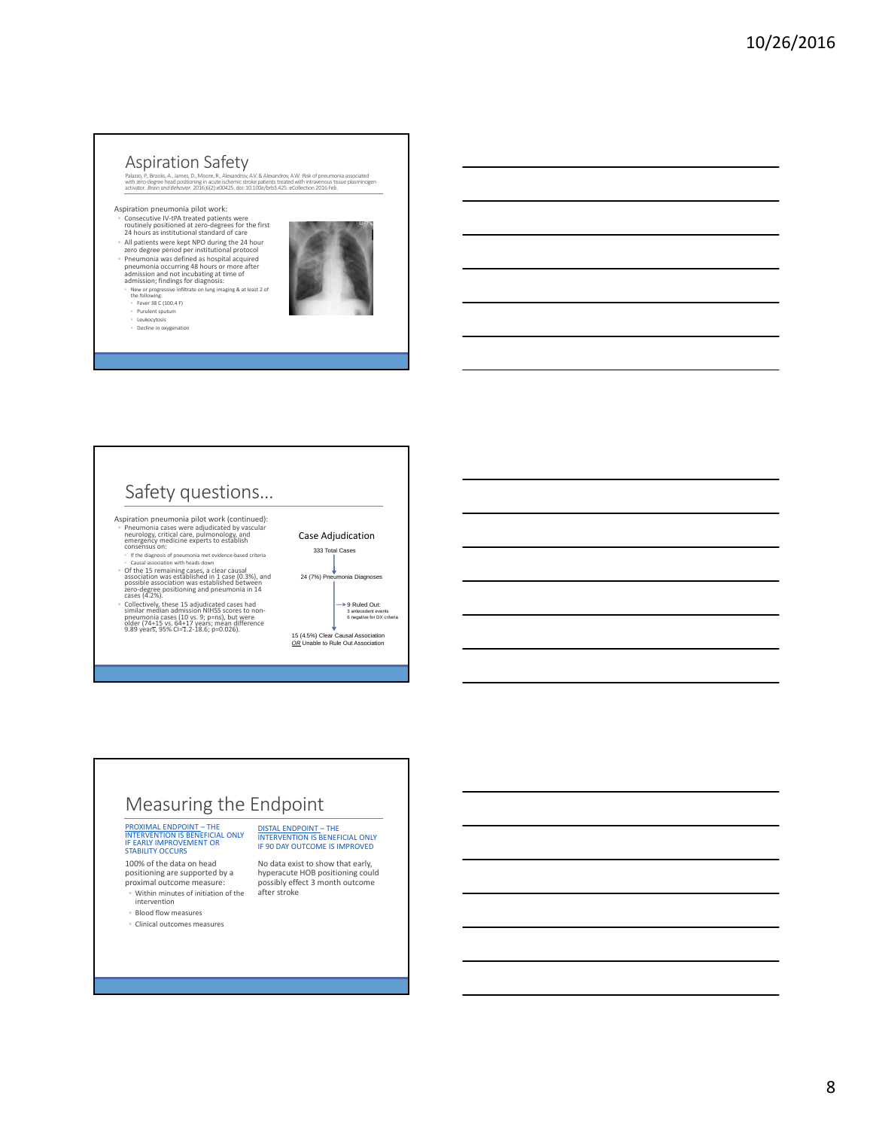#### Aspiration Safety

Palazzo, P., Brooks, A., James, D., Moore, R., Alexandrov, A.V. & Alexandrov, A.W. Risk of pneumonia associated<br>with zero-degree head positioning in acute ischemic stroke patients treated with intravenous tissue plasminoge

- Aspiration pneumonia pilot work:<br>◦ Consecutive IV-tPA treated patients were<br>← routinely positioned at zero-degrees for the first<br>↑ 24 hours as institutional standard of care
- All patients were kept NPO during the <sup>24</sup> hour zero degree period per institutional protocol
- 
- Pneumonia was defined as hospital acquired pneumonia occurring <sup>48</sup> hours or more after admission and not incubating at time of admission; findings for diagnosis:
- New or progressive infiltrate on lung imaging & at least <sup>2</sup> of the following:
- 
- Fever 38 C (100.4 F) Purulent sputum Leukocytosis Decline in oxygenation



- Safety questions… Aspiration pneumonia pilot work (continued): • Pneumonia cases were adjudicated by vascular<br>neurology, critical care, pulmonology, and<br>emergency medicine experts to establish<br>consensus on:<br>• If the diagnosis of pneumonia met evidence-based criteria<br>Causal association
- Causai association win neaas cown<br>
association was established in 1 case (0.3%), and<br>
possible association was established between<br>
zero–degree positioning and pneumonia in 14<br>
cases (4.2%).
- tases (4.2%).<br>Collectively, these 15 adjudicated cases had<br>similar median admission NIHSS scores to non-<br>pneumonia cases (10 vs. 9; p=ns), but were<br>older (74+15 vs. 64+17 years; mean difference<br>9.89 years, 95% CI=1.2-18.6;



## Measuring the Endpoint

# PROXIMAL ENDPOINT – THE<br>INTERVENTION IS BENEFICIAL ONLY<br>IF EARLY IMPROVEMENT OR<br>STABILITY OCCURS

100% of the data on head positioning are supported by a proximal outcome measure: ◦ Within minutes of initiation of the

intervention ◦ Blood flow measures

◦ Clinical outcomes measures

DISTAL ENDPOINT – THE INTERVENTION IS BENEFICIAL ONLY IF 90 DAY OUTCOME IS IMPROVED

No data exist to show that early, hyperacute HOB positioning could possibly effect 3 month outcome after stroke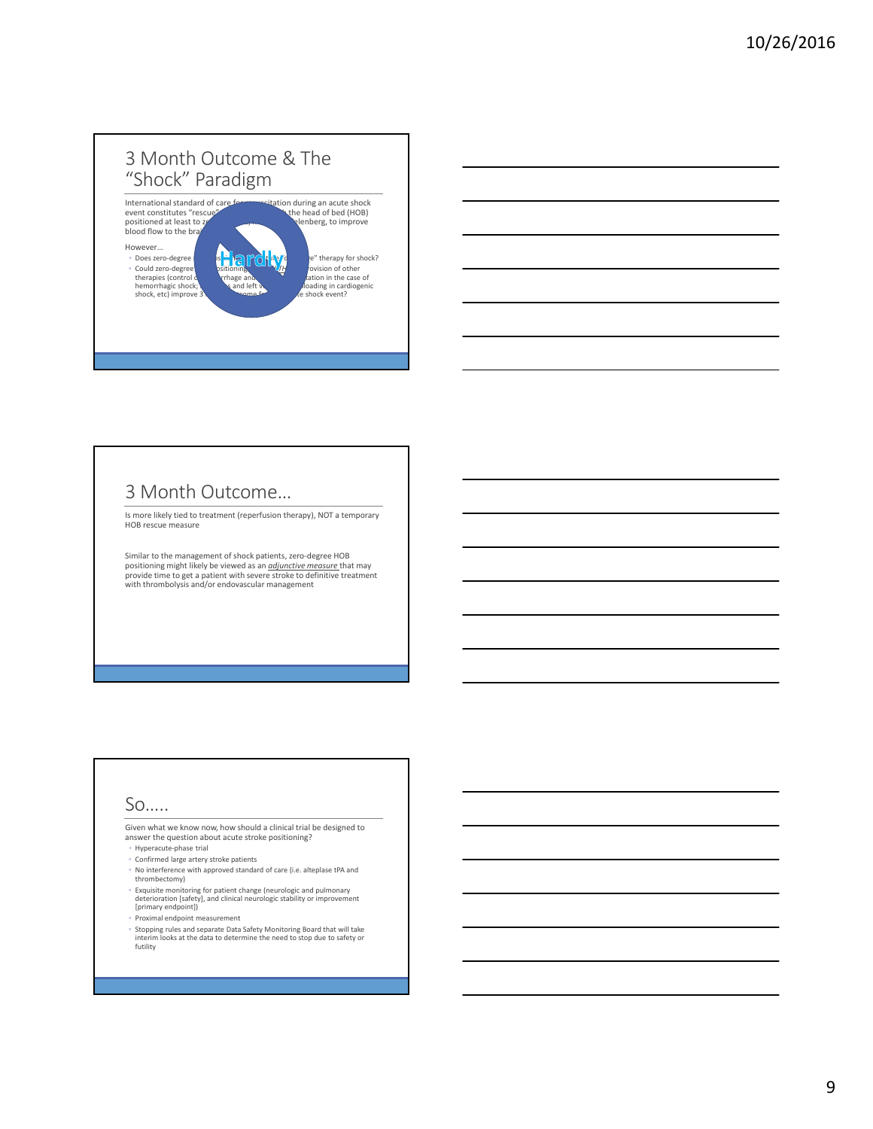### 3 Month Outcome & The "Shock" Paradigm



#### 3 Month Outcome…

Is more likely tied to treatment (reperfusion therapy), NOT a temporary HOB rescue measure

Similar to the management of shock patients, zero‐degree HOB positioning might likely be viewed as an <u>*ddiunctive measure* t</u>hat may<br>provide time to get a patient with severe stroke to definitive treatment<br>with thrombolysis and/or endovascular management

#### So…..

Given what we know now, how should a clinical trial be designed to answer the question about acute stroke positioning?

- Hyperacute‐phase trial
- Confirmed large artery stroke patients
- No interference with approved standard of care (i.e. alteplase tPA and
- thrombectomy)
- ∘ Exquisite monitoring for patient change (neurologic and pulmonary<br>deterioration [safety], and clinical neurologic stability or improvement<br>[primary endpoint])
- Proximal endpoint measurement
- Stopping rules and separate Data Safety Monitoring Board that will take interim looks at the data to determine the need to stop due to safety or futility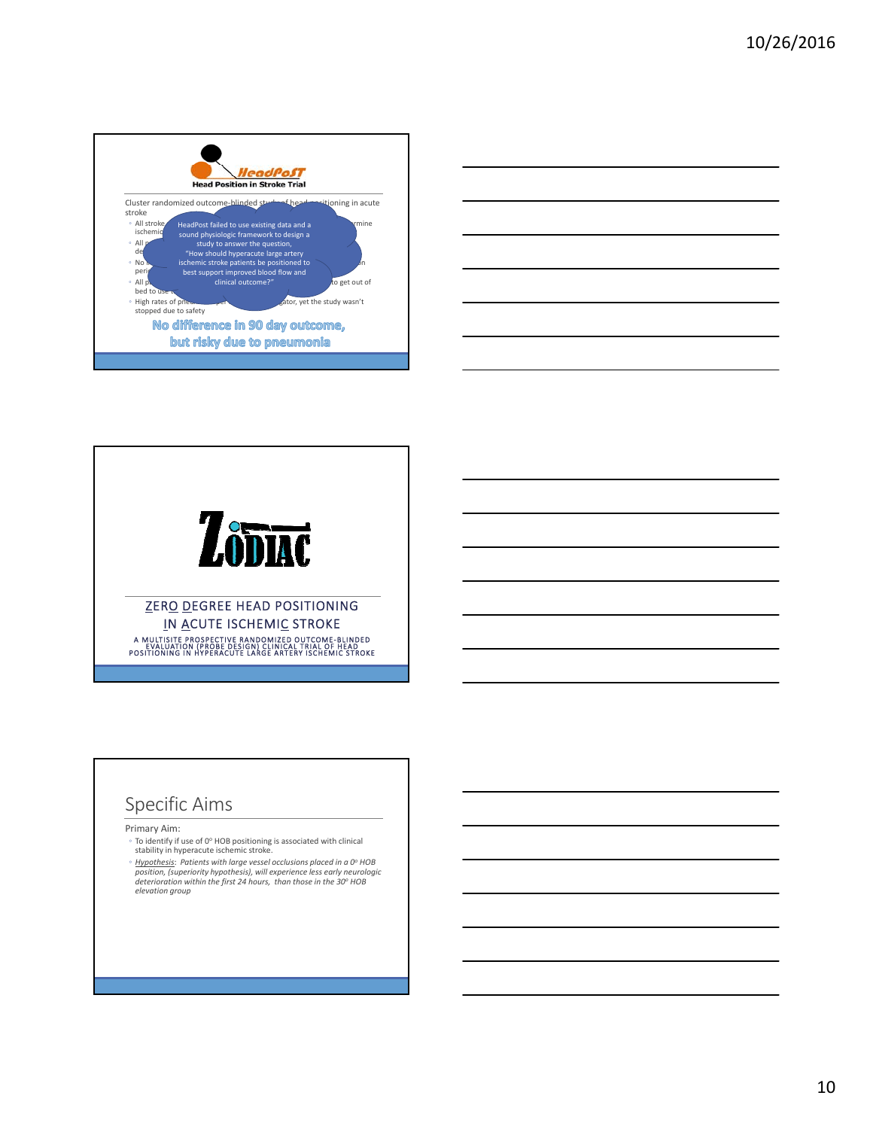





### Specific Aims

Primary Aim:

- <sup>○</sup> To identify if use of 0<sup>o</sup> HOB positioning is associated with clinical stability in hyperacute ischemic stroke.
- *Hypothesis*: *Patients with large vessel occlusions placed in a 0o HOB* position, (superiority hypothesis), will experience less early neurologic<br>deterioration within the first 24 hours, than those in the 30° HOB *elevation group*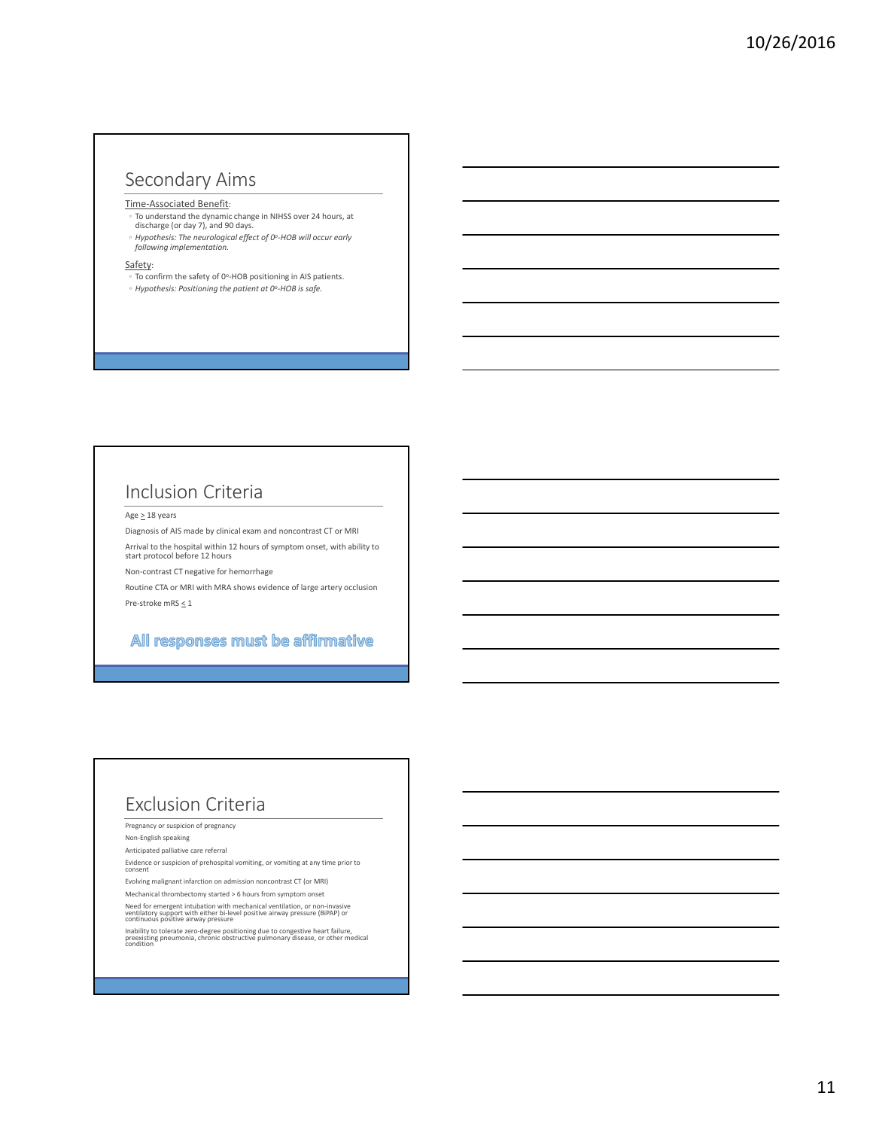### Secondary Aims

Time‐Associated Benefit:

- To understand the dynamic change in NIHSS over 24 hours, at discharge (or day 7), and 90 days.
- *Hypothesis: The neurological effect of 0o‐HOB will occur early following implementation.*

Safety:

- 
- To confirm the safety of 0o‐HOB positioning in AIS patients. ◦ *Hypothesis: Positioning the patient at 0o‐HOB is safe.*

### Inclusion Criteria

Age  $\geq$  18 years

Diagnosis of AIS made by clinical exam and noncontrast CT or MRI Arrival to the hospital within 12 hours of symptom onset, with ability to

start protocol before 12 hours

Non‐contrast CT negative for hemorrhage

Routine CTA or MRI with MRA shows evidence of large artery occlusion Pre‐stroke mRS < 1

#### All responses must be affirmative

#### Exclusion Criteria

Pregnancy or suspicion of pregnancy

Non‐English speaking

Anticipated palliative care referral

Evidence or suspicion of prehospital vomiting, or vomiting at any time prior to consent

Evolving malignant infarction on admission noncontrast CT (or MRI)

Mechanical thrombectomy started > 6 hours from symptom onset

Need for emergent intubation with mechanical ventilation, or non-invasive ventilatory support with either bi-level positive airway pressure (BiPAP) or continuous positive airway pressure

Inability to tolerate zero-degree positioning due to congestive heart failure,<br>preexisting pneumonia, chronic obstructive pulmonary disease, or other medical<br>condition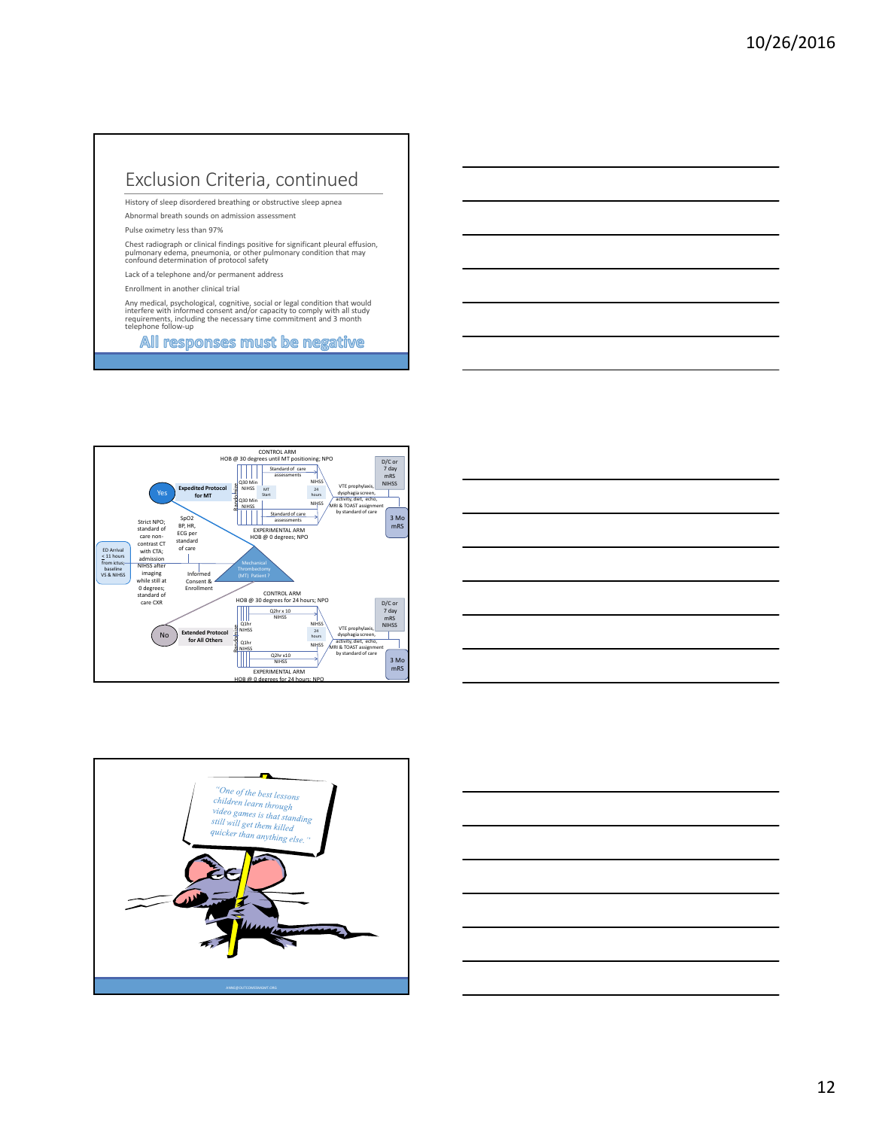### Exclusion Criteria, continued

History of sleep disordered breathing or obstructive sleep apnea

Abnormal breath sounds on admission assessment

Pulse oximetry less than 97%

Chest radiograph or clinical findings positive for significant pleural effusion,<br>pulmonary edema, pneumonia, or other pulmonary condition that may<br>confound determination of protocol safety

Lack of a telephone and/or permanent address

Enrollment in another clinical trial

Any medical, psychological, cognitive, social or legal condition that would<br>interfere with informed consent and/or capacity to comply with all study requirements, including the necessary time commitment and 3 month<br>telephone follow‐up



| <u> The Common State Common State Common State Common State Common State Common State Common State Common State Common State Common State Common State Common State Common State Common State Common State Common State Common S</u> |  |
|--------------------------------------------------------------------------------------------------------------------------------------------------------------------------------------------------------------------------------------|--|